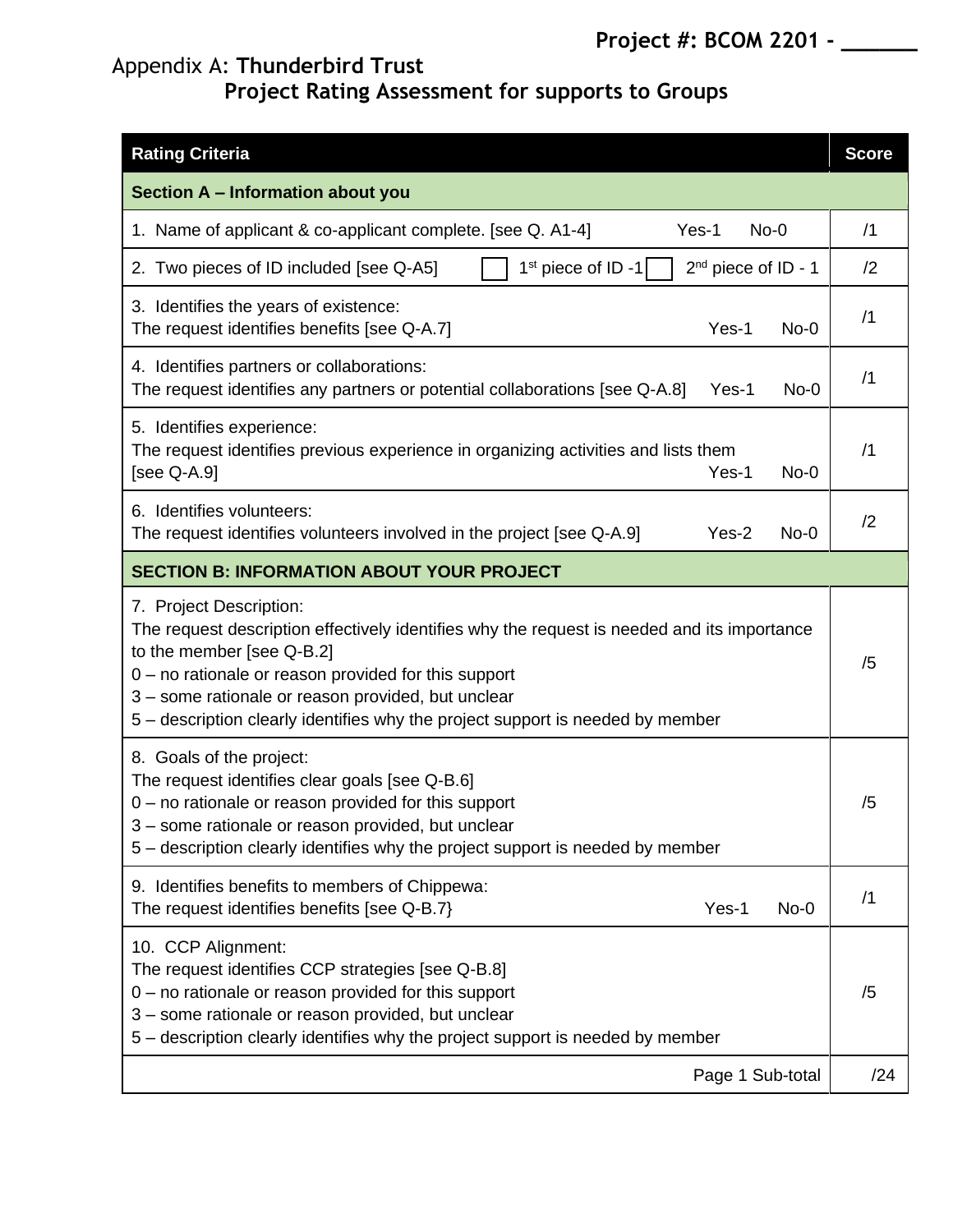## Appendix A: **Thunderbird Trust**

## **Project Rating Assessment for supports to Groups**

| <b>Rating Criteria</b>                                                                                                                                                                                                                                                                                                                              | <b>Score</b> |
|-----------------------------------------------------------------------------------------------------------------------------------------------------------------------------------------------------------------------------------------------------------------------------------------------------------------------------------------------------|--------------|
| Section A - Information about you                                                                                                                                                                                                                                                                                                                   |              |
| 1. Name of applicant & co-applicant complete. [see Q. A1-4]<br>Yes-1<br>$No-0$                                                                                                                                                                                                                                                                      | /1           |
| $1st$ piece of ID -1<br>$2^{nd}$ piece of ID - 1<br>2. Two pieces of ID included [see Q-A5]                                                                                                                                                                                                                                                         | /2           |
| 3. Identifies the years of existence:<br>The request identifies benefits [see Q-A.7]<br>Yes-1<br>$No-0$                                                                                                                                                                                                                                             | /1           |
| 4. Identifies partners or collaborations:<br>The request identifies any partners or potential collaborations [see Q-A.8]<br>$No-0$<br>Yes-1                                                                                                                                                                                                         | /1           |
| 5. Identifies experience:<br>The request identifies previous experience in organizing activities and lists them<br>[see Q-A.9]<br>Yes-1<br>$No-0$                                                                                                                                                                                                   | /1           |
| 6. Identifies volunteers:<br>The request identifies volunteers involved in the project [see Q-A.9]<br>Yes-2<br>$No-0$                                                                                                                                                                                                                               | /2           |
| <b>SECTION B: INFORMATION ABOUT YOUR PROJECT</b>                                                                                                                                                                                                                                                                                                    |              |
| 7. Project Description:<br>The request description effectively identifies why the request is needed and its importance<br>to the member [see Q-B.2]<br>0 - no rationale or reason provided for this support<br>3 - some rationale or reason provided, but unclear<br>5 – description clearly identifies why the project support is needed by member | /5           |
| 8. Goals of the project:<br>The request identifies clear goals [see Q-B.6]<br>$0$ – no rationale or reason provided for this support<br>3 – some rationale or reason provided, but unclear<br>5 – description clearly identifies why the project support is needed by member                                                                        | /5           |
| 9. Identifies benefits to members of Chippewa:<br>Yes-1<br>The request identifies benefits [see Q-B.7]<br>$No-0$                                                                                                                                                                                                                                    | /1           |
| 10. CCP Alignment:<br>The request identifies CCP strategies [see Q-B.8]<br>$0$ – no rationale or reason provided for this support<br>3 - some rationale or reason provided, but unclear<br>5 – description clearly identifies why the project support is needed by member                                                                           | /5           |
| Page 1 Sub-total                                                                                                                                                                                                                                                                                                                                    | /24          |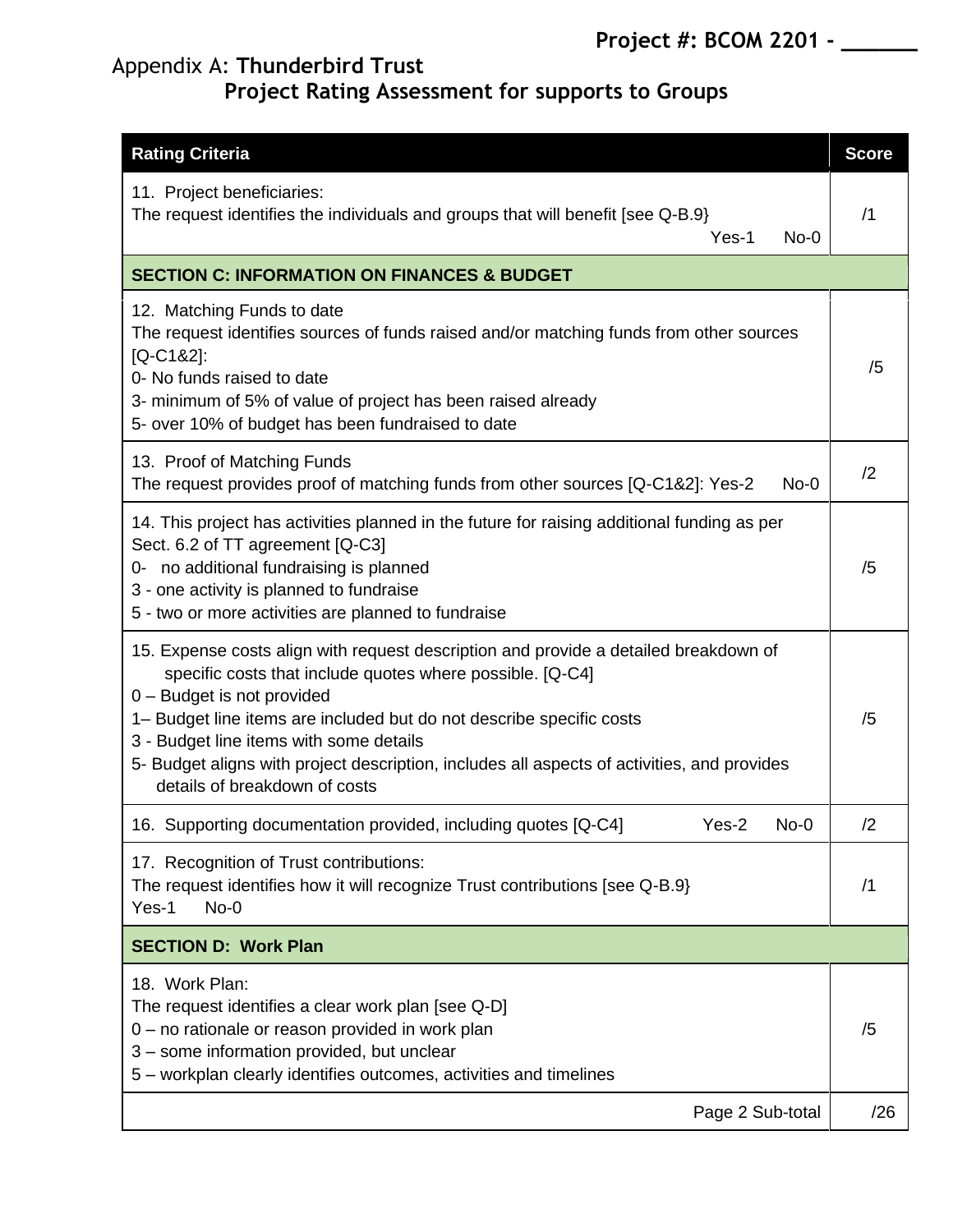### Appendix A: **Thunderbird Trust Project Rating Assessment for supports to Groups**

| <b>Rating Criteria</b>                                                                                                                                                                                                                                                                                                                                                                                                             | <b>Score</b> |
|------------------------------------------------------------------------------------------------------------------------------------------------------------------------------------------------------------------------------------------------------------------------------------------------------------------------------------------------------------------------------------------------------------------------------------|--------------|
| 11. Project beneficiaries:<br>The request identifies the individuals and groups that will benefit [see Q-B.9}<br>Yes-1<br>$No-0$                                                                                                                                                                                                                                                                                                   | /1           |
| <b>SECTION C: INFORMATION ON FINANCES &amp; BUDGET</b>                                                                                                                                                                                                                                                                                                                                                                             |              |
| 12. Matching Funds to date<br>The request identifies sources of funds raised and/or matching funds from other sources<br>$[Q-C182]$ :<br>0- No funds raised to date<br>3- minimum of 5% of value of project has been raised already<br>5- over 10% of budget has been fundraised to date                                                                                                                                           | /5           |
| 13. Proof of Matching Funds<br>The request provides proof of matching funds from other sources [Q-C1&2]: Yes-2<br>$No-0$                                                                                                                                                                                                                                                                                                           | /2           |
| 14. This project has activities planned in the future for raising additional funding as per<br>Sect. 6.2 of TT agreement [Q-C3]<br>0- no additional fundraising is planned<br>3 - one activity is planned to fundraise<br>5 - two or more activities are planned to fundraise                                                                                                                                                      | /5           |
| 15. Expense costs align with request description and provide a detailed breakdown of<br>specific costs that include quotes where possible. [Q-C4]<br>0 - Budget is not provided<br>1- Budget line items are included but do not describe specific costs<br>3 - Budget line items with some details<br>5- Budget aligns with project description, includes all aspects of activities, and provides<br>details of breakdown of costs | /5           |
| 16. Supporting documentation provided, including quotes [Q-C4]<br>Yes-2<br>$No-0$                                                                                                                                                                                                                                                                                                                                                  | /2           |
| 17. Recognition of Trust contributions:<br>The request identifies how it will recognize Trust contributions [see Q-B.9}<br>Yes-1<br>$No-0$                                                                                                                                                                                                                                                                                         | /1           |
| <b>SECTION D: Work Plan</b>                                                                                                                                                                                                                                                                                                                                                                                                        |              |
| 18. Work Plan:<br>The request identifies a clear work plan [see Q-D]<br>0 - no rationale or reason provided in work plan<br>3 - some information provided, but unclear<br>5 – workplan clearly identifies outcomes, activities and timelines                                                                                                                                                                                       | /5           |
| Page 2 Sub-total                                                                                                                                                                                                                                                                                                                                                                                                                   | /26          |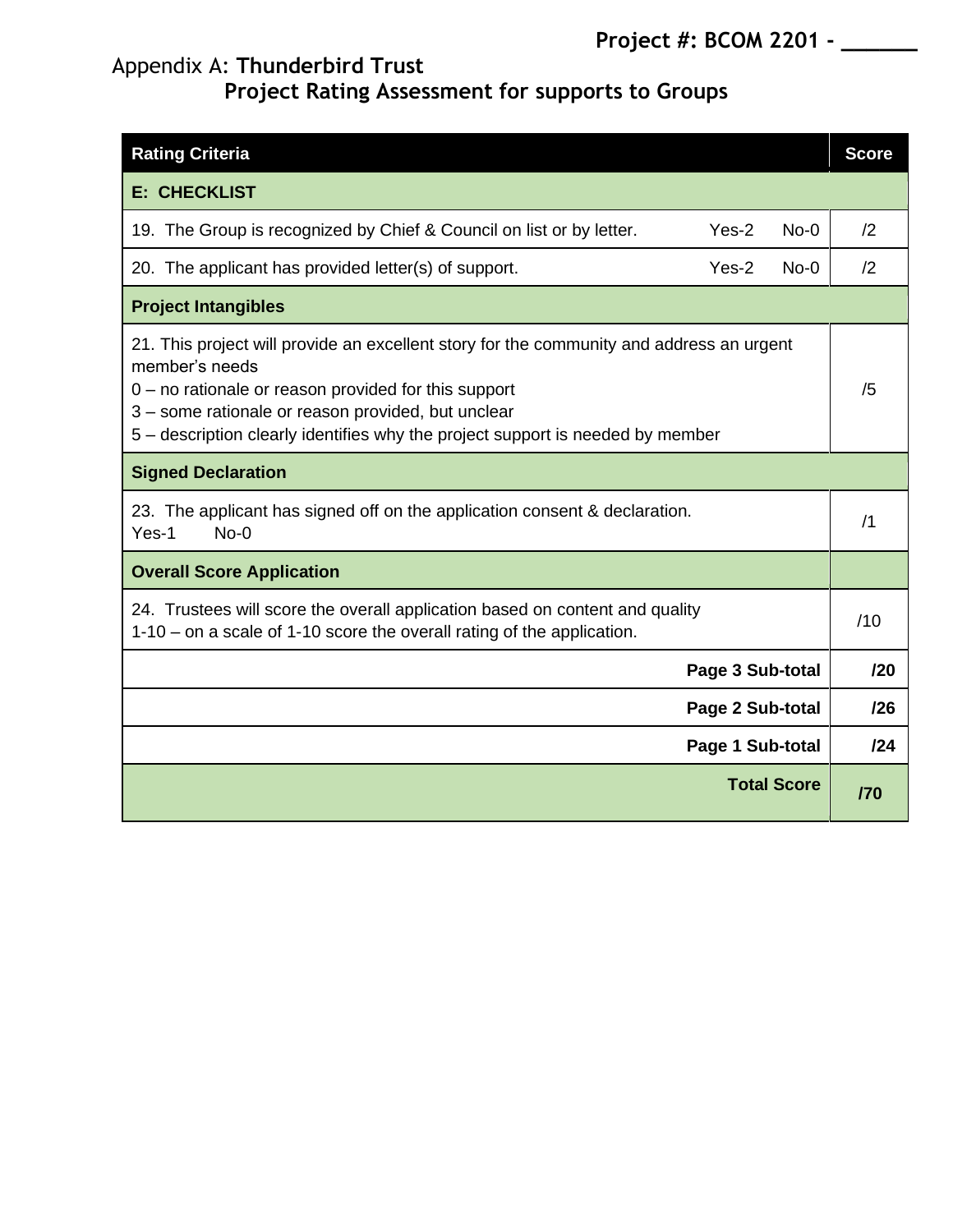# Appendix A: **Thunderbird Trust**

**Project Rating Assessment for supports to Groups**

| <b>Rating Criteria</b>                                                                                                                                                                                                                                                                                       | <b>Score</b> |
|--------------------------------------------------------------------------------------------------------------------------------------------------------------------------------------------------------------------------------------------------------------------------------------------------------------|--------------|
| <b>E: CHECKLIST</b>                                                                                                                                                                                                                                                                                          |              |
| $Yes-2$<br>19. The Group is recognized by Chief & Council on list or by letter.<br>$No-0$                                                                                                                                                                                                                    | /2           |
| 20. The applicant has provided letter(s) of support.<br>Yes-2<br>$No-0$                                                                                                                                                                                                                                      | /2           |
| <b>Project Intangibles</b>                                                                                                                                                                                                                                                                                   |              |
| 21. This project will provide an excellent story for the community and address an urgent<br>member's needs<br>$0$ – no rationale or reason provided for this support<br>3 - some rationale or reason provided, but unclear<br>5 – description clearly identifies why the project support is needed by member | /5           |
| <b>Signed Declaration</b>                                                                                                                                                                                                                                                                                    |              |
| 23. The applicant has signed off on the application consent & declaration.<br>$No-0$<br>Yes-1                                                                                                                                                                                                                | /1           |
| <b>Overall Score Application</b>                                                                                                                                                                                                                                                                             |              |
| 24. Trustees will score the overall application based on content and quality<br>1-10 – on a scale of 1-10 score the overall rating of the application.                                                                                                                                                       | /10          |
| Page 3 Sub-total                                                                                                                                                                                                                                                                                             | 120          |
| Page 2 Sub-total                                                                                                                                                                                                                                                                                             | /26          |
| Page 1 Sub-total                                                                                                                                                                                                                                                                                             | 124          |
| <b>Total Score</b>                                                                                                                                                                                                                                                                                           | /70          |